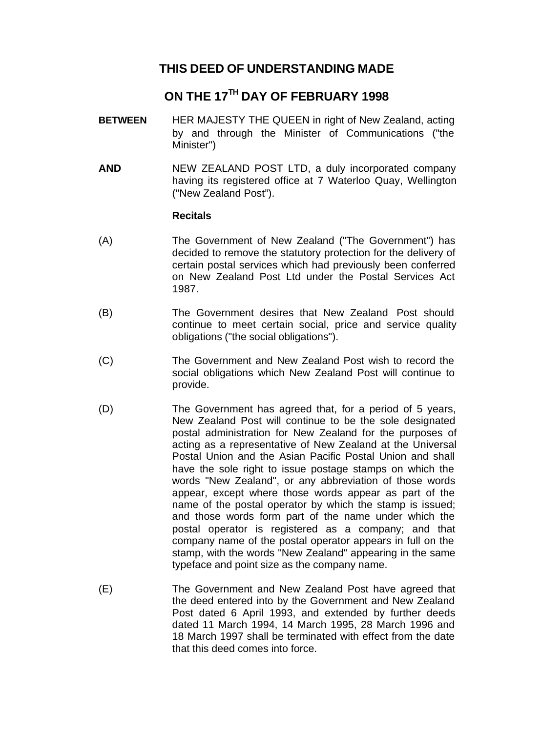# **THIS DEED OF UNDERSTANDING MADE**

# **ON THE 17TH DAY OF FEBRUARY 1998**

- **BETWEEN** HER MAJESTY THE QUEEN in right of New Zealand, acting by and through the Minister of Communications ("the Minister")
- **AND** NEW ZEALAND POST LTD, a duly incorporated company having its registered office at 7 Waterloo Quay, Wellington ("New Zealand Post").

## **Recitals**

- (A) The Government of New Zealand ("The Government") has decided to remove the statutory protection for the delivery of certain postal services which had previously been conferred on New Zealand Post Ltd under the Postal Services Act 1987.
- (B) The Government desires that New Zealand Post should continue to meet certain social, price and service quality obligations ("the social obligations").
- (C) The Government and New Zealand Post wish to record the social obligations which New Zealand Post will continue to provide.
- (D) The Government has agreed that, for a period of 5 years, New Zealand Post will continue to be the sole designated postal administration for New Zealand for the purposes of acting as a representative of New Zealand at the Universal Postal Union and the Asian Pacific Postal Union and shall have the sole right to issue postage stamps on which the words "New Zealand", or any abbreviation of those words appear, except where those words appear as part of the name of the postal operator by which the stamp is issued; and those words form part of the name under which the postal operator is registered as a company; and that company name of the postal operator appears in full on the stamp, with the words "New Zealand" appearing in the same typeface and point size as the company name.
- (E) The Government and New Zealand Post have agreed that the deed entered into by the Government and New Zealand Post dated 6 April 1993, and extended by further deeds dated 11 March 1994, 14 March 1995, 28 March 1996 and 18 March 1997 shall be terminated with effect from the date that this deed comes into force.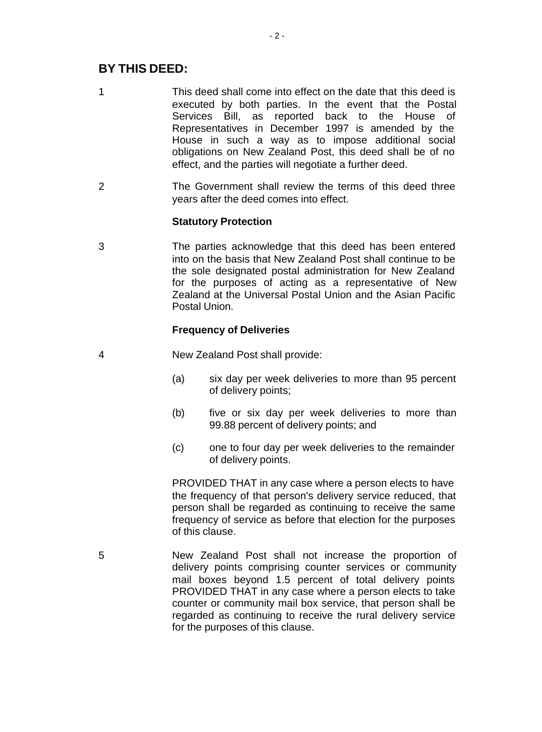# **BY THIS DEED:**

- 1 This deed shall come into effect on the date that this deed is executed by both parties. In the event that the Postal Services Bill, as reported back to the House of Representatives in December 1997 is amended by the House in such a way as to impose additional social obligations on New Zealand Post, this deed shall be of no effect, and the parties will negotiate a further deed.
- 2 The Government shall review the terms of this deed three years after the deed comes into effect.

## **Statutory Protection**

3 The parties acknowledge that this deed has been entered into on the basis that New Zealand Post shall continue to be the sole designated postal administration for New Zealand for the purposes of acting as a representative of New Zealand at the Universal Postal Union and the Asian Pacific Postal Union.

## **Frequency of Deliveries**

- 4 New Zealand Post shall provide:
	- (a) six day per week deliveries to more than 95 percent of delivery points;
	- (b) five or six day per week deliveries to more than 99.88 percent of delivery points; and
	- (c) one to four day per week deliveries to the remainder of delivery points.

PROVIDED THAT in any case where a person elects to have the frequency of that person's delivery service reduced, that person shall be regarded as continuing to receive the same frequency of service as before that election for the purposes of this clause.

5 New Zealand Post shall not increase the proportion of delivery points comprising counter services or community mail boxes beyond 1.5 percent of total delivery points PROVIDED THAT in any case where a person elects to take counter or community mail box service, that person shall be regarded as continuing to receive the rural delivery service for the purposes of this clause.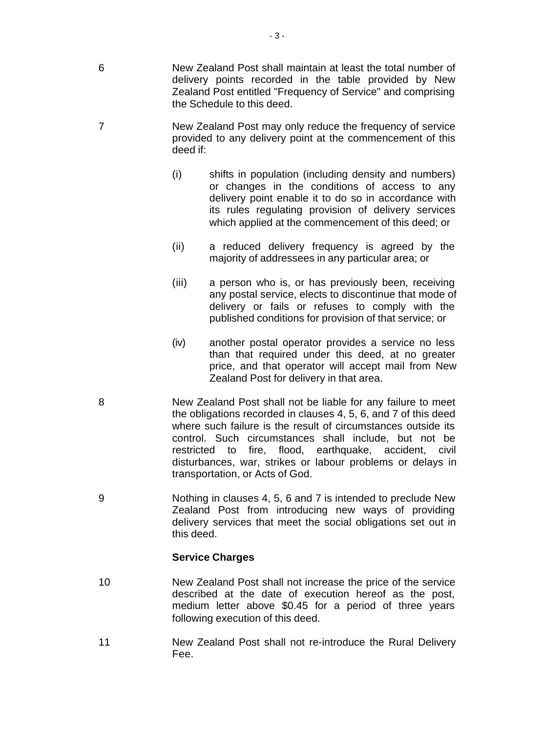- 6 New Zealand Post shall maintain at least the total number of delivery points recorded in the table provided by New Zealand Post entitled "Frequency of Service" and comprising the Schedule to this deed.
- 7 New Zealand Post may only reduce the frequency of service provided to any delivery point at the commencement of this deed if:
	- (i) shifts in population (including density and numbers) or changes in the conditions of access to any delivery point enable it to do so in accordance with its rules regulating provision of delivery services which applied at the commencement of this deed; or
	- (ii) a reduced delivery frequency is agreed by the majority of addressees in any particular area; or
	- (iii) a person who is, or has previously been, receiving any postal service, elects to discontinue that mode of delivery or fails or refuses to comply with the published conditions for provision of that service; or
	- (iv) another postal operator provides a service no less than that required under this deed, at no greater price, and that operator will accept mail from New Zealand Post for delivery in that area.
- 8 New Zealand Post shall not be liable for any failure to meet the obligations recorded in clauses 4, 5, 6, and 7 of this deed where such failure is the result of circumstances outside its control. Such circumstances shall include, but not be restricted to fire, flood, earthquake, accident, civil disturbances, war, strikes or labour problems or delays in transportation, or Acts of God.
- 9 Nothing in clauses 4, 5, 6 and 7 is intended to preclude New Zealand Post from introducing new ways of providing delivery services that meet the social obligations set out in this deed.

## **Service Charges**

- 10 New Zealand Post shall not increase the price of the service described at the date of execution hereof as the post, medium letter above \$0.45 for a period of three years following execution of this deed.
- 11 New Zealand Post shall not re-introduce the Rural Delivery Fee.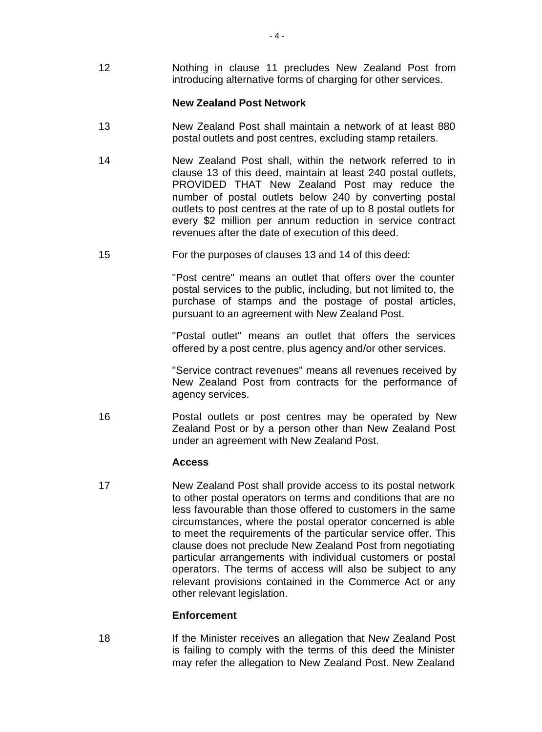12 Nothing in clause 11 precludes New Zealand Post from introducing alternative forms of charging for other services.

#### **New Zealand Post Network**

- 13 New Zealand Post shall maintain a network of at least 880 postal outlets and post centres, excluding stamp retailers.
- 14 New Zealand Post shall, within the network referred to in clause 13 of this deed, maintain at least 240 postal outlets, PROVIDED THAT New Zealand Post may reduce the number of postal outlets below 240 by converting postal outlets to post centres at the rate of up to 8 postal outlets for every \$2 million per annum reduction in service contract revenues after the date of execution of this deed.
- 15 For the purposes of clauses 13 and 14 of this deed:

"Post centre" means an outlet that offers over the counter postal services to the public, including, but not limited to, the purchase of stamps and the postage of postal articles, pursuant to an agreement with New Zealand Post.

"Postal outlet" means an outlet that offers the services offered by a post centre, plus agency and/or other services.

"Service contract revenues" means all revenues received by New Zealand Post from contracts for the performance of agency services.

16 Postal outlets or post centres may be operated by New Zealand Post or by a person other than New Zealand Post under an agreement with New Zealand Post.

#### **Access**

17 New Zealand Post shall provide access to its postal network to other postal operators on terms and conditions that are no less favourable than those offered to customers in the same circumstances, where the postal operator concerned is able to meet the requirements of the particular service offer. This clause does not preclude New Zealand Post from negotiating particular arrangements with individual customers or postal operators. The terms of access will also be subject to any relevant provisions contained in the Commerce Act or any other relevant legislation.

#### **Enforcement**

18 If the Minister receives an allegation that New Zealand Post is failing to comply with the terms of this deed the Minister may refer the allegation to New Zealand Post. New Zealand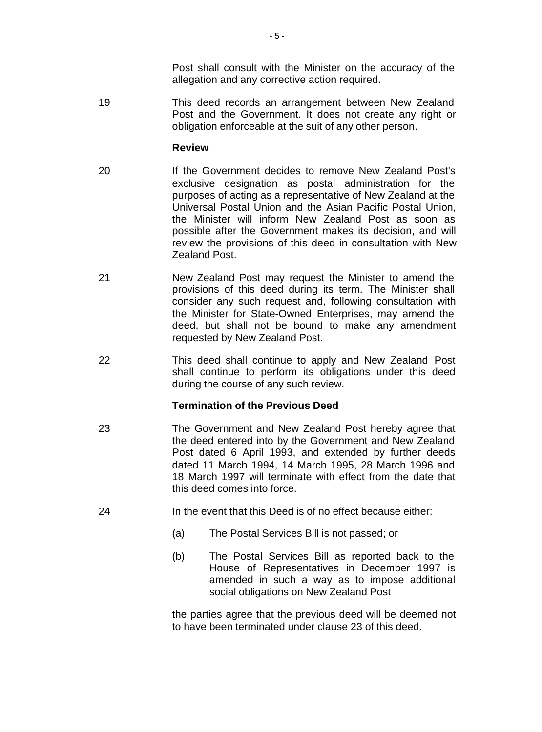Post shall consult with the Minister on the accuracy of the allegation and any corrective action required.

19 This deed records an arrangement between New Zealand Post and the Government. It does not create any right or obligation enforceable at the suit of any other person.

#### **Review**

- 20 If the Government decides to remove New Zealand Post's exclusive designation as postal administration for the purposes of acting as a representative of New Zealand at the Universal Postal Union and the Asian Pacific Postal Union, the Minister will inform New Zealand Post as soon as possible after the Government makes its decision, and will review the provisions of this deed in consultation with New Zealand Post.
- 21 New Zealand Post may request the Minister to amend the provisions of this deed during its term. The Minister shall consider any such request and, following consultation with the Minister for State-Owned Enterprises, may amend the deed, but shall not be bound to make any amendment requested by New Zealand Post.
- 22 This deed shall continue to apply and New Zealand Post shall continue to perform its obligations under this deed during the course of any such review.

#### **Termination of the Previous Deed**

- 23 The Government and New Zealand Post hereby agree that the deed entered into by the Government and New Zealand Post dated 6 April 1993, and extended by further deeds dated 11 March 1994, 14 March 1995, 28 March 1996 and 18 March 1997 will terminate with effect from the date that this deed comes into force.
- 24 In the event that this Deed is of no effect because either:
	- (a) The Postal Services Bill is not passed; or
	- (b) The Postal Services Bill as reported back to the House of Representatives in December 1997 is amended in such a way as to impose additional social obligations on New Zealand Post

the parties agree that the previous deed will be deemed not to have been terminated under clause 23 of this deed.